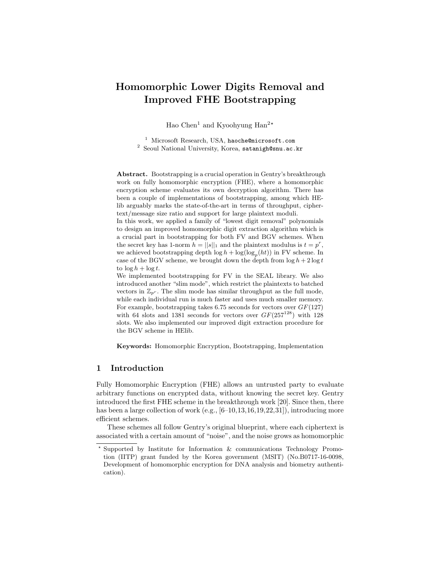# Homomorphic Lower Digits Removal and Improved FHE Bootstrapping

Hao Chen<sup>1</sup> and Kyoohyung Han<sup>2\*</sup>

<sup>1</sup> Microsoft Research, USA, haoche@microsoft.com <sup>2</sup> Seoul National University, Korea, satanigh@snu.ac.kr

Abstract. Bootstrapping is a crucial operation in Gentry's breakthrough work on fully homomorphic encryption (FHE), where a homomorphic encryption scheme evaluates its own decryption algorithm. There has been a couple of implementations of bootstrapping, among which HElib arguably marks the state-of-the-art in terms of throughput, ciphertext/message size ratio and support for large plaintext moduli.

In this work, we applied a family of "lowest digit removal" polynomials to design an improved homomorphic digit extraction algorithm which is a crucial part in bootstrapping for both FV and BGV schemes. When the secret key has 1-norm  $h = ||s||_1$  and the plaintext modulus is  $t = p^r$ , we achieved bootstrapping depth  $\log h + \log(\log_p(ht))$  in FV scheme. In case of the BGV scheme, we brought down the depth from  $\log h + 2 \log t$ to  $\log h + \log t$ .

We implemented bootstrapping for FV in the SEAL library. We also introduced another "slim mode", which restrict the plaintexts to batched vectors in  $\mathbb{Z}_{p^r}$ . The slim mode has similar throughput as the full mode, while each individual run is much faster and uses much smaller memory. For example, bootstrapping takes 6.75 seconds for vectors over  $GF(127)$ with 64 slots and 1381 seconds for vectors over  $GF(257^{128})$  with 128 slots. We also implemented our improved digit extraction procedure for the BGV scheme in HElib.

Keywords: Homomorphic Encryption, Bootstrapping, Implementation

## 1 Introduction

Fully Homomorphic Encryption (FHE) allows an untrusted party to evaluate arbitrary functions on encrypted data, without knowing the secret key. Gentry introduced the first FHE scheme in the breakthrough work [20]. Since then, there has been a large collection of work  $(e.g., [6-10,13,16,19,22,31])$ , introducing more efficient schemes.

These schemes all follow Gentry's original blueprint, where each ciphertext is associated with a certain amount of "noise", and the noise grows as homomorphic

<sup>?</sup> Supported by Institute for Information & communications Technology Promotion (IITP) grant funded by the Korea government (MSIT) (No.B0717-16-0098, Development of homomorphic encryption for DNA analysis and biometry authentication).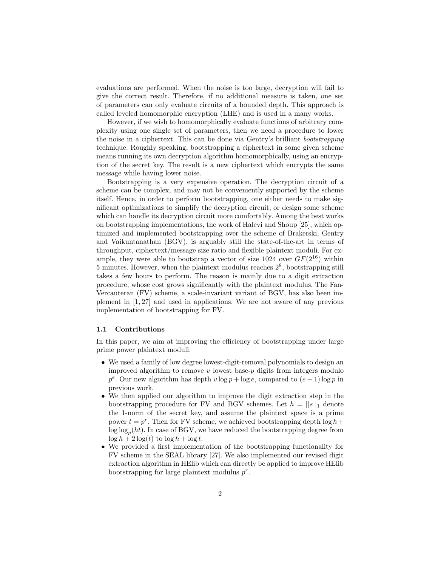evaluations are performed. When the noise is too large, decryption will fail to give the correct result. Therefore, if no additional measure is taken, one set of parameters can only evaluate circuits of a bounded depth. This approach is called leveled homomorphic encryption (LHE) and is used in a many works.

However, if we wish to homomorphically evaluate functions of arbitrary complexity using one single set of parameters, then we need a procedure to lower the noise in a ciphertext. This can be done via Gentry's brilliant bootstrapping technique. Roughly speaking, bootstrapping a ciphertext in some given scheme means running its own decryption algorithm homomorphically, using an encryption of the secret key. The result is a new ciphertext which encrypts the same message while having lower noise.

Bootstrapping is a very expensive operation. The decryption circuit of a scheme can be complex, and may not be conveniently supported by the scheme itself. Hence, in order to perform bootstrapping, one either needs to make significant optimizations to simplify the decryption circuit, or design some scheme which can handle its decryption circuit more comfortably. Among the best works on bootstrapping implementations, the work of Halevi and Shoup [25], which optimized and implemented bootstrapping over the scheme of Brakerski, Gentry and Vaikuntanathan (BGV), is arguably still the state-of-the-art in terms of throughput, ciphertext/message size ratio and flexible plaintext moduli. For example, they were able to bootstrap a vector of size 1024 over  $GF(2^{16})$  within  $5 \text{ minutes. However, when the plaintext modulus reaches } 2^8$ , bootstrapping still takes a few hours to perform. The reason is mainly due to a digit extraction procedure, whose cost grows significantly with the plaintext modulus. The Fan-Vercauteran (FV) scheme, a scale-invariant variant of BGV, has also been implement in [1, 27] and used in applications. We are not aware of any previous implementation of bootstrapping for FV.

#### 1.1 Contributions

In this paper, we aim at improving the efficiency of bootstrapping under large prime power plaintext moduli.

- We used a family of low degree lowest-digit-removal polynomials to design an improved algorithm to remove  $v$  lowest base- $p$  digits from integers modulo  $p^e$ . Our new algorithm has depth  $v \log p + \log e$ , compared to  $(e-1) \log p$  in previous work.
- We then applied our algorithm to improve the digit extraction step in the bootstrapping procedure for FV and BGV schemes. Let  $h = ||s||_1$  denote the 1-norm of the secret key, and assume the plaintext space is a prime power  $t = p^r$ . Then for FV scheme, we achieved bootstrapping depth  $\log h +$  $\log \log_p(ht)$ . In case of BGV, we have reduced the bootstrapping degree from  $\log h + 2 \log(t)$  to  $\log h + \log t$ .
- We provided a first implementation of the bootstrapping functionality for FV scheme in the SEAL library [27]. We also implemented our revised digit extraction algorithm in HElib which can directly be applied to improve HElib bootstrapping for large plaintext modulus  $p^r$ .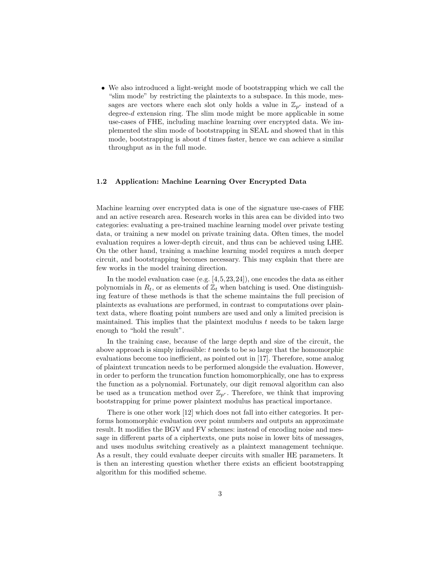• We also introduced a light-weight mode of bootstrapping which we call the "slim mode" by restricting the plaintexts to a subspace. In this mode, messages are vectors where each slot only holds a value in  $\mathbb{Z}_{p^r}$  instead of a degree-d extension ring. The slim mode might be more applicable in some use-cases of FHE, including machine learning over encrypted data. We implemented the slim mode of bootstrapping in SEAL and showed that in this mode, bootstrapping is about  $d$  times faster, hence we can achieve a similar throughput as in the full mode.

## 1.2 Application: Machine Learning Over Encrypted Data

Machine learning over encrypted data is one of the signature use-cases of FHE and an active research area. Research works in this area can be divided into two categories: evaluating a pre-trained machine learning model over private testing data, or training a new model on private training data. Often times, the model evaluation requires a lower-depth circuit, and thus can be achieved using LHE. On the other hand, training a machine learning model requires a much deeper circuit, and bootstrapping becomes necessary. This may explain that there are few works in the model training direction.

In the model evaluation case (e.g. [4,5,23,24]), one encodes the data as either polynomials in  $R_t$ , or as elements of  $\mathbb{Z}_t$  when batching is used. One distinguishing feature of these methods is that the scheme maintains the full precision of plaintexts as evaluations are performed, in contrast to computations over plaintext data, where floating point numbers are used and only a limited precision is maintained. This implies that the plaintext modulus  $t$  needs to be taken large enough to "hold the result".

In the training case, because of the large depth and size of the circuit, the above approach is simply infeasible:  $t$  needs to be so large that the homomorphic evaluations become too inefficient, as pointed out in [17]. Therefore, some analog of plaintext truncation needs to be performed alongside the evaluation. However, in order to perform the truncation function homomorphically, one has to express the function as a polynomial. Fortunately, our digit removal algorithm can also be used as a truncation method over  $\mathbb{Z}_{p^r}$ . Therefore, we think that improving bootstrapping for prime power plaintext modulus has practical importance.

There is one other work [12] which does not fall into either categories. It performs homomorphic evaluation over point numbers and outputs an approximate result. It modifies the BGV and FV schemes: instead of encoding noise and message in different parts of a ciphertexts, one puts noise in lower bits of messages, and uses modulus switching creatively as a plaintext management technique. As a result, they could evaluate deeper circuits with smaller HE parameters. It is then an interesting question whether there exists an efficient bootstrapping algorithm for this modified scheme.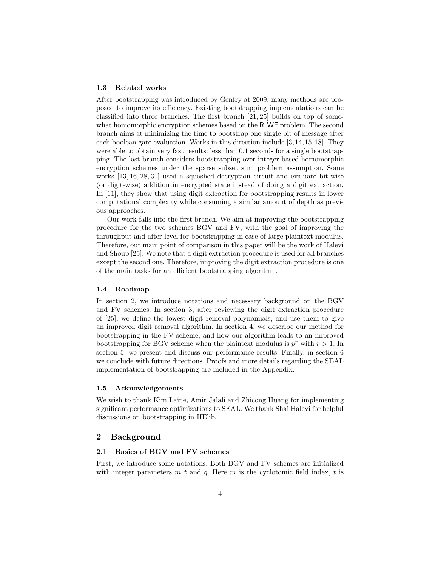#### 1.3 Related works

After bootstrapping was introduced by Gentry at 2009, many methods are proposed to improve its efficiency. Existing bootstrapping implementations can be classified into three branches. The first branch [21, 25] builds on top of somewhat homomorphic encryption schemes based on the RLWE problem. The second branch aims at minimizing the time to bootstrap one single bit of message after each boolean gate evaluation. Works in this direction include [3,14,15,18]. They were able to obtain very fast results: less than 0.1 seconds for a single bootstrapping. The last branch considers bootstrapping over integer-based homomorphic encryption schemes under the sparse subset sum problem assumption. Some works [13, 16, 28, 31] used a squashed decryption circuit and evaluate bit-wise (or digit-wise) addition in encrypted state instead of doing a digit extraction. In [11], they show that using digit extraction for bootstrapping results in lower computational complexity while consuming a similar amount of depth as previous approaches.

Our work falls into the first branch. We aim at improving the bootstrapping procedure for the two schemes BGV and FV, with the goal of improving the throughput and after level for bootstrapping in case of large plaintext modulus. Therefore, our main point of comparison in this paper will be the work of Halevi and Shoup [25]. We note that a digit extraction procedure is used for all branches except the second one. Therefore, improving the digit extraction procedure is one of the main tasks for an efficient bootstrapping algorithm.

#### 1.4 Roadmap

In section 2, we introduce notations and necessary background on the BGV and FV schemes. In section 3, after reviewing the digit extraction procedure of [25], we define the lowest digit removal polynomials, and use them to give an improved digit removal algorithm. In section 4, we describe our method for bootstrapping in the FV scheme, and how our algorithm leads to an improved bootstrapping for BGV scheme when the plaintext modulus is  $p^r$  with  $r > 1$ . In section 5, we present and discuss our performance results. Finally, in section 6 we conclude with future directions. Proofs and more details regarding the SEAL implementation of bootstrapping are included in the Appendix.

### 1.5 Acknowledgements

We wish to thank Kim Laine, Amir Jalali and Zhicong Huang for implementing significant performance optimizations to SEAL. We thank Shai Halevi for helpful discussions on bootstrapping in HElib.

## 2 Background

#### 2.1 Basics of BGV and FV schemes

First, we introduce some notations. Both BGV and FV schemes are initialized with integer parameters  $m, t$  and  $q$ . Here  $m$  is the cyclotomic field index,  $t$  is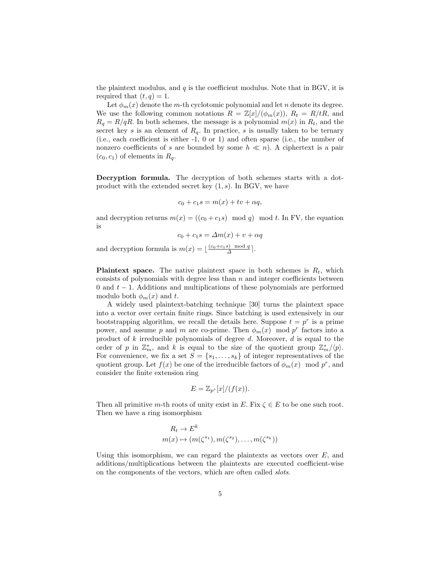the plaintext modulus, and  $q$  is the coefficient modulus. Note that in BGV, it is required that  $(t, q) = 1$ .

Let  $\phi_m(x)$  denote the m-th cyclotomic polynomial and let n denote its degree. We use the following common notations  $R = \mathbb{Z}[x]/(\phi_m(x))$ ,  $R_t = R/tR$ , and  $R_q = R/qR$ . In both schemes, the message is a polynomial  $m(x)$  in  $R_t$ , and the secret key s is an element of  $R_q$ . In practice, s is usually taken to be ternary (i.e., each coefficient is either -1, 0 or 1) and often sparse (i.e., the number of nonzero coefficients of s are bounded by some  $h \ll n$ ). A ciphertext is a pair  $(c_0, c_1)$  of elements in  $R_q$ .

Decryption formula. The decryption of both schemes starts with a dotproduct with the extended secret key  $(1, s)$ . In BGV, we have

$$
c_0 + c_1 s = m(x) + tv + \alpha q,
$$

and decryption returns  $m(x) = ((c_0 + c_1 s) \mod q) \mod t$ . In FV, the equation is

 $c_0 + c_1 s = \Delta m(x) + v + \alpha q$ 

and decryption formula is  $m(x) = \lfloor \frac{(c_0+c_1s) \mod q}{\Delta} \rfloor$ .

**Plaintext space.** The native plaintext space in both schemes is  $R_t$ , which consists of polynomials with degree less than  $n$  and integer coefficients between 0 and  $t - 1$ . Additions and multiplications of these polynomials are performed modulo both  $\phi_m(x)$  and t.

A widely used plaintext-batching technique [30] turns the plaintext space into a vector over certain finite rings. Since batching is used extensively in our bootstrapping algorithm, we recall the details here. Suppose  $t = p^r$  is a prime power, and assume p and m are co-prime. Then  $\phi_m(x)$  mod p<sup>r</sup> factors into a product of  $k$  irreducible polynomials of degree  $d$ . Moreover,  $d$  is equal to the order of p in  $\mathbb{Z}_m^*$ , and k is equal to the size of the quotient group  $\mathbb{Z}_m^*/\langle p \rangle$ . For convenience, we fix a set  $S = \{s_1, \ldots, s_k\}$  of integer representatives of the quotient group. Let  $f(x)$  be one of the irreducible factors of  $\phi_m(x) \mod p^r$ , and consider the finite extension ring

$$
E = \mathbb{Z}_{p^r}[x]/(f(x)).
$$

Then all primitive m-th roots of unity exist in E. Fix  $\zeta \in E$  to be one such root. Then we have a ring isomorphism

$$
R_t \to E^k
$$
  

$$
m(x) \mapsto (m(\zeta^{s_1}), m(\zeta^{s_2}), \dots, m(\zeta^{s_k}))
$$

Using this isomorphism, we can regard the plaintexts as vectors over  $E$ , and additions/multiplications between the plaintexts are executed coefficient-wise on the components of the vectors, which are often called slots.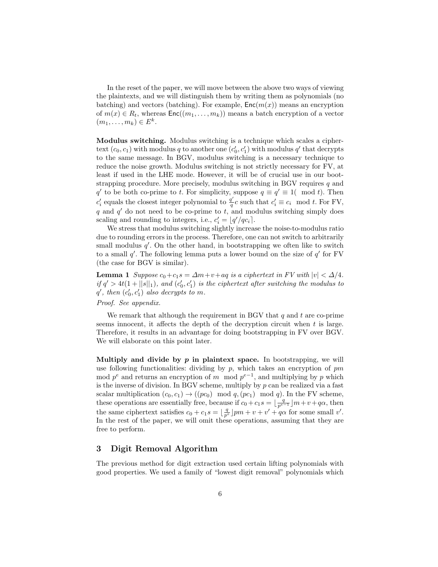In the reset of the paper, we will move between the above two ways of viewing the plaintexts, and we will distinguish them by writing them as polynomials (no batching) and vectors (batching). For example,  $Enc(m(x))$  means an encryption of  $m(x) \in R_t$ , whereas  $\text{Enc}((m_1, \ldots, m_k))$  means a batch encryption of a vector  $(m_1,\ldots,m_k)\in E^k$ .

Modulus switching. Modulus switching is a technique which scales a ciphertext  $(c_0, c_1)$  with modulus q to another one  $(c'_0, c'_1)$  with modulus q' that decrypts to the same message. In BGV, modulus switching is a necessary technique to reduce the noise growth. Modulus switching is not strictly necessary for FV, at least if used in the LHE mode. However, it will be of crucial use in our bootstrapping procedure. More precisely, modulus switching in BGV requires  $q$  and q' to be both co-prime to t. For simplicity, suppose  $q \equiv q' \equiv 1 \pmod{t}$ . Then  $c_i'$  equals the closest integer polynomial to  $\frac{q'}{q}$  $q'_{q}c$  such that  $c'_{i} \equiv c_{i} \mod t$ . For FV, q and  $q'$  do not need to be co-prime to t, and modulus switching simply does scaling and rounding to integers, i.e.,  $c_i' = \lfloor q'/qc_i \rfloor$ .

We stress that modulus switching slightly increase the noise-to-modulus ratio due to rounding errors in the process. Therefore, one can not switch to arbitrarily small modulus  $q'$ . On the other hand, in bootstrapping we often like to switch to a small  $q'$ . The following lemma puts a lower bound on the size of  $q'$  for FV (the case for BGV is similar).

**Lemma 1** Suppose  $c_0+c_1s = \Delta m + v+aq$  is a ciphertext in FV with  $|v| < \Delta/4$ . if  $q' > 4t(1 + ||s||_1)$ , and  $(c'_0, c'_1)$  is the ciphertext after switching the modulus to  $q'$ , then  $(c'_0, c'_1)$  also decrypts to m.

## Proof. See appendix.

We remark that although the requirement in BGV that  $q$  and  $t$  are co-prime seems innocent, it affects the depth of the decryption circuit when  $t$  is large. Therefore, it results in an advantage for doing bootstrapping in FV over BGV. We will elaborate on this point later.

Multiply and divide by  $p$  in plaintext space. In bootstrapping, we will use following functionalities: dividing by  $p$ , which takes an encryption of  $pm$ mod  $p^e$  and returns an encryption of m mod  $p^{e-1}$ , and multiplying by p which is the inverse of division. In BGV scheme, multiply by  $p$  can be realized via a fast scalar multiplication  $(c_0, c_1) \rightarrow ((pc_0) \mod q, (pc_1) \mod q)$ . In the FV scheme, these operations are essentially free, because if  $c_0 + c_1 s = \lfloor \frac{q}{p^{e-1}} \rfloor m + v + q\alpha$ , then the same ciphertext satisfies  $c_0 + c_1 s = \lfloor \frac{q}{p^e} \rfloor pm + v + v' + q\alpha$  for some small v'. In the rest of the paper, we will omit these operations, assuming that they are free to perform.

## 3 Digit Removal Algorithm

The previous method for digit extraction used certain lifting polynomials with good properties. We used a family of "lowest digit removal" polynomials which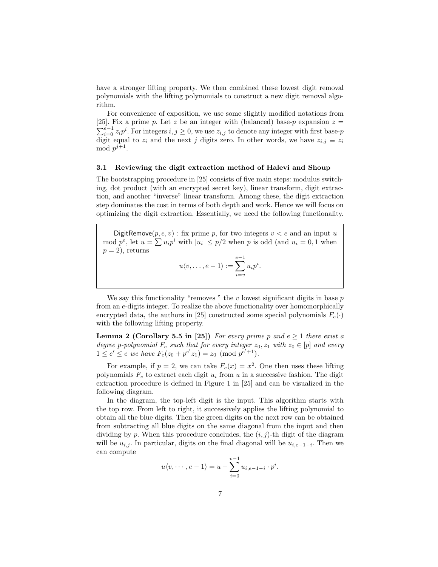have a stronger lifting property. We then combined these lowest digit removal polynomials with the lifting polynomials to construct a new digit removal algorithm.

For convenience of exposition, we use some slightly modified notations from [25]. Fix a prime p. Let z be an integer with (balanced) base-p expansion  $z =$  $\sum_{i=0}^{e-1} z_i p^i$ . For integers  $i, j \geq 0$ , we use  $z_{i,j}$  to denote any integer with first base-p digit equal to  $z_i$  and the next j digits zero. In other words, we have  $z_{i,j} \equiv z_i$ mod  $p^{j+1}$ .

## 3.1 Reviewing the digit extraction method of Halevi and Shoup

The bootstrapping procedure in [25] consists of five main steps: modulus switching, dot product (with an encrypted secret key), linear transform, digit extraction, and another "inverse" linear transform. Among these, the digit extraction step dominates the cost in terms of both depth and work. Hence we will focus on optimizing the digit extraction. Essentially, we need the following functionality.

DigitRemove $(p, e, v)$ : fix prime p, for two integers  $v < e$  and an input u mod  $p^e$ , let  $u = \sum u_i p^i$  with  $|u_i| \leq p/2$  when p is odd (and  $u_i = 0, 1$  when  $p = 2$ , returns

$$
u\langle v,\ldots,e-1\rangle := \sum_{i=v}^{e-1} u_i p^i.
$$

We say this functionality "removes" the v lowest significant digits in base  $p$ from an e-digits integer. To realize the above functionality over homomorphically encrypted data, the authors in [25] constructed some special polynomials  $F_e(\cdot)$ with the following lifting property.

**Lemma 2 (Corollary 5.5 in [25])** For every prime p and  $e \geq 1$  there exist a degree p-polynomial  $F_e$  such that for every integer  $z_0, z_1$  with  $z_0 \in [p]$  and every  $1 \leq e' \leq e$  we have  $F_e(z_0 + p^{e'} z_1) = z_0 \pmod{p^{e'+1}}$ .

For example, if  $p = 2$ , we can take  $F_e(x) = x^2$ . One then uses these lifting polynomials  $F_e$  to extract each digit  $u_i$  from u in a successive fashion. The digit extraction procedure is defined in Figure 1 in [25] and can be visualized in the following diagram.

In the diagram, the top-left digit is the input. This algorithm starts with the top row. From left to right, it successively applies the lifting polynomial to obtain all the blue digits. Then the green digits on the next row can be obtained from subtracting all blue digits on the same diagonal from the input and then dividing by p. When this procedure concludes, the  $(i, j)$ -th digit of the diagram will be  $u_{i,j}$ . In particular, digits on the final diagonal will be  $u_{i,e-1-i}$ . Then we can compute

$$
u\langle v, \cdots, e-1\rangle = u - \sum_{i=0}^{v-1} u_{i,e-1-i} \cdot p^i.
$$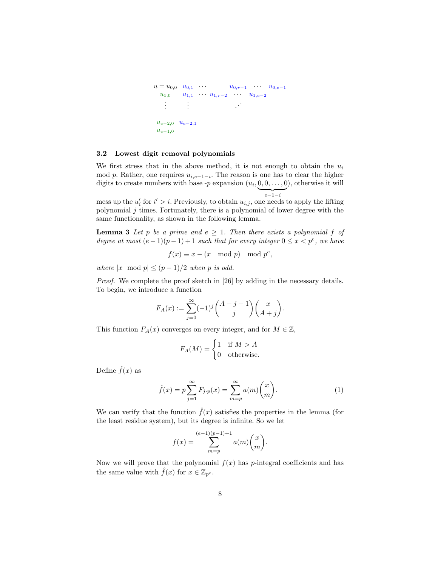```
u = u_{0,0} \quad u_{0,1} \quad \cdots \quad u_{0,r-1} \quad \cdots \quad u_{0,e-1}u_{1,0} u_{1,1} · · u_{1,r-2} · · · u_{1,e-2}.
.
.
                .
.
                . .
                                        .
.
 u_{e-2,0} u_{e-2,1}u_{e-1,0}
```
#### 3.2 Lowest digit removal polynomials

We first stress that in the above method, it is not enough to obtain the  $u_i$ mod p. Rather, one requires  $u_{i,e-1-i}$ . The reason is one has to clear the higher digits to create numbers with base  $-p$  expansion  $(u_i, 0, 0, \ldots, 0)$ , otherwise it will  $\overline{e-1-i}$ 

mess up the  $u'_i$  for  $i' > i$ . Previously, to obtain  $u_{i,j}$ , one needs to apply the lifting polynomial  $j$  times. Fortunately, there is a polynomial of lower degree with the same functionality, as shown in the following lemma.

**Lemma 3** Let p be a prime and  $e \geq 1$ . Then there exists a polynomial f of degree at most  $(e-1)(p-1)+1$  such that for every integer  $0 \le x < p^e$ , we have

$$
f(x) \equiv x - (x \mod p) \mod p^e,
$$

where  $|x \mod p| \leq (p-1)/2$  when p is odd.

Proof. We complete the proof sketch in [26] by adding in the necessary details. To begin, we introduce a function

$$
F_A(x) := \sum_{j=0}^{\infty} (-1)^j {A + j - 1 \choose j} {x \choose A + j}.
$$

This function  $F_A(x)$  converges on every integer, and for  $M \in \mathbb{Z}$ ,

$$
F_A(M) = \begin{cases} 1 & \text{if } M > A \\ 0 & \text{otherwise.} \end{cases}
$$

Define  $\hat{f}(x)$  as

$$
\hat{f}(x) = p \sum_{j=1}^{\infty} F_{j \cdot p}(x) = \sum_{m=p}^{\infty} a(m) {x \choose m}.
$$
 (1)

We can verify that the function  $\hat{f}(x)$  satisfies the properties in the lemma (for the least residue system), but its degree is infinite. So we let

$$
f(x) = \sum_{m=p}^{(e-1)(p-1)+1} a(m) {x \choose m}.
$$

Now we will prove that the polynomial  $f(x)$  has p-integral coefficients and has the same value with  $\hat{f}(x)$  for  $x \in \mathbb{Z}_{p^e}$ .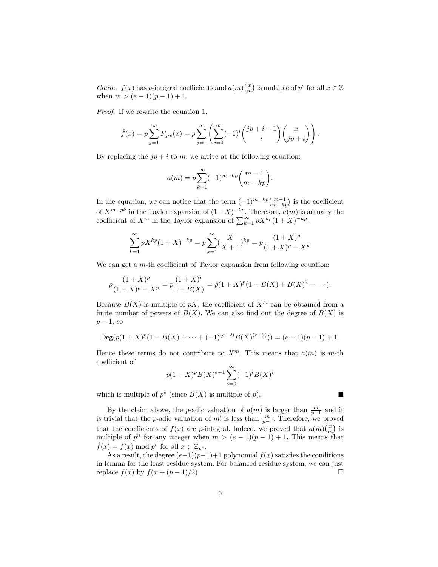*Claim.*  $f(x)$  has p-integral coefficients and  $a(m) {x \choose m}$  is multiple of  $p^e$  for all  $x \in \mathbb{Z}$ when  $m > (e-1)(p-1) + 1$ .

Proof. If we rewrite the equation 1,

$$
\hat{f}(x) = p \sum_{j=1}^{\infty} F_{j \cdot p}(x) = p \sum_{j=1}^{\infty} \left( \sum_{i=0}^{\infty} (-1)^i {j p + i - 1 \choose i} {x \choose j p + i} \right).
$$

By replacing the  $jp + i$  to m, we arrive at the following equation:

$$
a(m) = p \sum_{k=1}^{\infty} (-1)^{m-kp} {m-1 \choose m-kp}.
$$

In the equation, we can notice that the term  $(-1)^{m-kp} \binom{m-1}{m-kp}$  is the coefficient of  $X^{m-pk}$  in the Taylor expansion of  $(1+X)^{-kp}$ . Therefore,  $a(m)$  is actually the coefficient of  $X^m$  in the Taylor expansion of  $\sum_{k=1}^{\infty} p X^{kp} (1+X)^{-kp}$ .

$$
\sum_{k=1}^{\infty} pX^{kp} (1+X)^{-kp} = p \sum_{k=1}^{\infty} \left(\frac{X}{X+1}\right)^{kp} = p \frac{(1+X)^p}{(1+X)^p - X^p}
$$

We can get a m-th coefficient of Taylor expansion from following equation:

$$
p\frac{(1+X)^p}{(1+X)^p - X^p} = p\frac{(1+X)^p}{1+B(X)} = p(1+X)^p(1-B(X) + B(X)^2 - \cdots).
$$

Because  $B(X)$  is multiple of pX, the coefficient of  $X^m$  can be obtained from a finite number of powers of  $B(X)$ . We can also find out the degree of  $B(X)$  is  $p-1$ , so

$$
\operatorname{Deg}(p(1+X)^p(1-B(X)+\cdots+(-1)^{(e-2)}B(X)^{(e-2)}))=(e-1)(p-1)+1.
$$

Hence these terms do not contribute to  $X^m$ . This means that  $a(m)$  is m-th coefficient of

$$
p(1+X)^{p}B(X)^{e-1}\sum_{i=0}^{\infty}(-1)^{i}B(X)^{i}
$$

which is multiple of  $p^e$  (since  $B(X)$  is multiple of p).

By the claim above, the *p*-adic valuation of  $a(m)$  is larger than  $\frac{m}{p-1}$  and it is trivial that the *p*-adic valuation of m! is less than  $\frac{m}{p-1}$ . Therefore, we proved that the coefficients of  $f(x)$  are p-integral. Indeed, we proved that  $a(m) {x \choose m}$  is multiple of  $p^n$  for any integer when  $m > (e-1)(p-1) + 1$ . This means that  $\hat{f}(x) = f(x) \bmod p^e$  for all  $x \in \mathbb{Z}_{p^e}$ .

As a result, the degree  $(e-1)(p-1)+1$  polynomial  $f(x)$  satisfies the conditions in lemma for the least residue system. For balanced residue system, we can just replace  $f(x)$  by  $f(x + (p-1)/2)$ .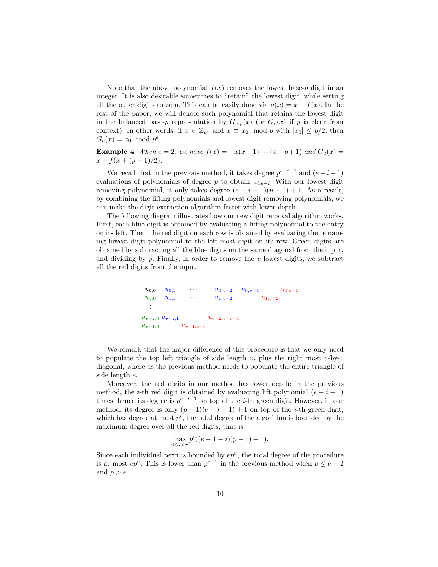Note that the above polynomial  $f(x)$  removes the lowest base-p digit in an integer. It is also desirable sometimes to "retain" the lowest digit, while setting all the other digits to zero. This can be easily done via  $g(x) = x - f(x)$ . In the rest of the paper, we will denote such polynomial that retains the lowest digit in the balanced base-p representation by  $G_{e,p}(x)$  (or  $G_e(x)$ ) if p is clear from context). In other words, if  $x \in \mathbb{Z}_{p^e}$  and  $x \equiv x_0 \mod p$  with  $|x_0| \leq p/2$ , then  $G_e(x) = x_0 \mod p^e$ .

**Example 4** When  $e = 2$ , we have  $f(x) = -x(x-1)\cdots(x-p+1)$  and  $G_2(x) =$  $x - f(x + (p-1)/2)$ .

We recall that in the previous method, it takes degree  $p^{e-i-1}$  and  $(e-i-1)$ evaluations of polynomials of degree p to obtain  $u_{i,e-i}$ . With our lowest digit removing polynomial, it only takes degree  $(e - i - 1)(p - 1) + 1$ . As a result, by combining the lifting polynomials and lowest digit removing polynomials, we can make the digit extraction algorithm faster with lower depth.

The following diagram illustrates how our new digit removal algorithm works. First, each blue digit is obtained by evaluating a lifting polynomial to the entry on its left. Then, the red digit on each row is obtained by evaluating the remaining lowest digit polynomial to the left-most digit on its row. Green digits are obtained by subtracting all the blue digits on the same diagonal from the input, and dividing by  $p$ . Finally, in order to remove the  $v$  lowest digits, we subtract all the red digits from the input.

```
u_{0,0} u_{0,1} · · · u_{0,v-2} u_{0,v-1} u_{0,e-1}u_{1,0} u_{1,1} \cdots u_{1,v-2} u_{1,e-2}.
.
.
u_{v-2,0} u_{v-2,1} u_{v-2,e-r+1}u_{v-1,0} u_{v-1,e-v}
```
We remark that the major difference of this procedure is that we only need to populate the top left triangle of side length  $v$ , plus the right most  $v$ -by-1 diagonal, where as the previous method needs to populate the entire triangle of side length e.

Moreover, the red digits in our method has lower depth: in the previous method, the *i*-th red digit is obtained by evaluating lift polynomial  $(e - i - 1)$ times, hence its degree is  $p^{e-i-1}$  on top of the *i*-th green digit. However, in our method, its degree is only  $(p-1)(e-i-1)+1$  on top of the *i*-th green digit, which has degree at most  $p^i$ , the total degree of the algorithm is bounded by the maximum degree over all the red digits, that is

$$
\max_{0 \le i < r} p^i \left( (e - 1 - i)(p - 1) + 1 \right).
$$

Since each individual term is bounded by  $ep<sup>v</sup>$ , the total degree of the procedure is at most  $ep^v$ . This is lower than  $p^{e-1}$  in the previous method when  $v \le e-2$ and  $p > e$ .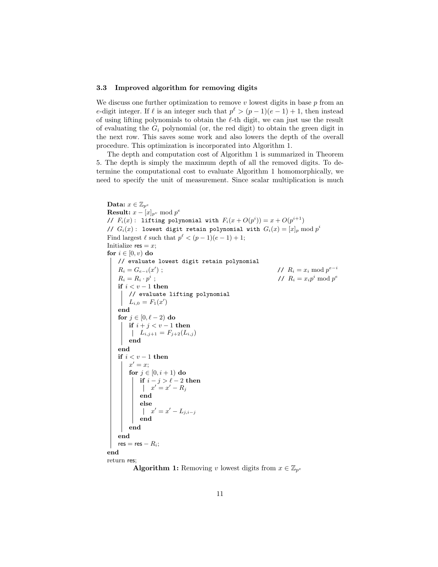#### 3.3 Improved algorithm for removing digits

We discuss one further optimization to remove  $v$  lowest digits in base  $p$  from an e-digit integer. If  $\ell$  is an integer such that  $p^{\ell} > (p-1)(e-1) + 1$ , then instead of using lifting polynomials to obtain the  $\ell$ -th digit, we can just use the result of evaluating the  $G_i$  polynomial (or, the red digit) to obtain the green digit in the next row. This saves some work and also lowers the depth of the overall procedure. This optimization is incorporated into Algorithm 1.

The depth and computation cost of Algorithm 1 is summarized in Theorem 5. The depth is simply the maximum depth of all the removed digits. To determine the computational cost to evaluate Algorithm 1 homomorphically, we need to specify the unit of measurement. Since scalar multiplication is much

```
Data: x \in \mathbb{Z}_{p^e}Result: x - [x]_{p^v} \mod p^e// F_i(x): lifting polynomial with F_i(x+O(p^i))=x+O(p^{i+1})// G_i(x): lowest digit retain polynomial with G_i(x) = [x]_p \bmod p^iFind largest \ell such that p^{\ell} < (p-1)(e-1) + 1;Initialize res = x;
for i \in [0, v) do
    // evaluate lowest digit retain polynomial
     R_i = G_{e-i}(x)); \sqrt{R_i} = x_i \mod p^{e-i}R_i = R_i \cdot p^i; \frac{1}{2} \frac{1}{2} \frac{1}{2} \frac{1}{2} \frac{1}{2} \frac{1}{2} \frac{1}{2} \frac{1}{2} \frac{1}{2} \frac{1}{2} \frac{1}{2} \frac{1}{2} \frac{1}{2} \frac{1}{2} \frac{1}{2} \frac{1}{2} \frac{1}{2} \frac{1}{2} \frac{1}{2} \frac{1}{2} \frac{1}{2} \frac{1}{2}if i < v - 1 then
        // evaluate lifting polynomial
          L_{i,0} = F_1(x')end
    for j \in [0, \ell - 2) do
       if i + j < v - 1 then
          L_{i,j+1} = F_{j+2}(L_{i,j})end
    end
    if i < v - 1 then
          x' = x;for j \in [0, i + 1) do
               if i - j > \ell - 2 then
                   x' = x' - R_jend
               else
                   x' = x' - L_{j,i-j}end
         end
    end
    res = res - R_i;end
return res;
```
**Algorithm 1:** Removing v lowest digits from  $x \in \mathbb{Z}_{p^e}$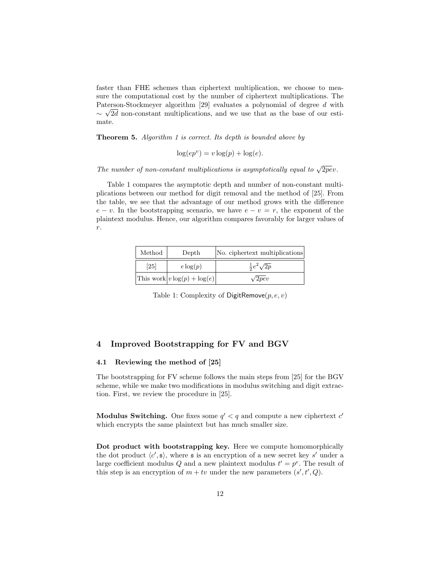faster than FHE schemes than ciphertext multiplication, we choose to measure the computational cost by the number of ciphertext multiplications. The Paterson-Stockmeyer algorithm [29] evaluates a polynomial of degree  $d$  with  $\sim \sqrt{2}d$  non-constant multiplications, and we use that as the base of our estimate.

Theorem 5. Algorithm 1 is correct. Its depth is bounded above by

$$
\log(ep^v) = v \log(p) + \log(e).
$$

The number of non-constant multiplications is asymptotically equal to  $\sqrt{2pe}v$ .

Table 1 compares the asymptotic depth and number of non-constant multiplications between our method for digit removal and the method of [25]. From the table, we see that the advantage of our method grows with the difference  $e - v$ . In the bootstrapping scenario, we have  $e - v = r$ , the exponent of the plaintext modulus. Hence, our algorithm compares favorably for larger values of  $r. \,$ 

| Method | Depth                             | No. ciphertext multiplications |
|--------|-----------------------------------|--------------------------------|
| [25]   | $e \log(p)$                       | $rac{1}{2}e^2\sqrt{2p}$        |
|        | This work $ v \log(p) + \log(e) $ | $\sqrt{2pe}v$                  |

Table 1: Complexity of DigitRemove $(p, e, v)$ 

## 4 Improved Bootstrapping for FV and BGV

## 4.1 Reviewing the method of [25]

The bootstrapping for FV scheme follows the main steps from [25] for the BGV scheme, while we make two modifications in modulus switching and digit extraction. First, we review the procedure in [25].

Modulus Switching. One fixes some  $q' < q$  and compute a new ciphertext  $c'$ which encrypts the same plaintext but has much smaller size.

Dot product with bootstrapping key. Here we compute homomorphically the dot product  $\langle c',\mathfrak{s}\rangle$ , where  $\mathfrak s$  is an encryption of a new secret key s' under a large coefficient modulus Q and a new plaintext modulus  $t' = p^e$ . The result of this step is an encryption of  $m + tv$  under the new parameters  $(s', t', Q)$ .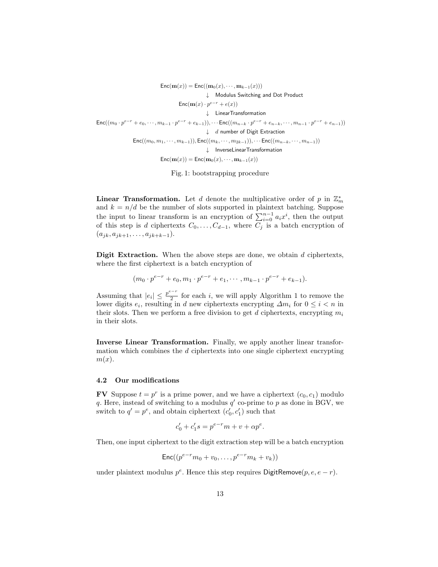$\mathsf{Enc}(\mathbf{m}(x)) = \mathsf{Enc}((\mathbf{m}_0(x), \cdots, \mathbf{m}_{k-1}(x)))$  $Enc((m_0 \cdot p^{e-r} + e_0, \dots, m_{k-1} \cdot p^{e-r} + e_{k-1})), \dots$   $Enc((m_{n-k} \cdot p^{e-r} + e_{n-k}, \dots, m_{n-1} \cdot p^{e-r} + e_{n-1}))$  $Enc((m_0, m_1, \dots, m_{k-1})), Enc((m_k, \dots, m_{2k-1})), \dots Enc((m_{n-k}, \dots, m_{n-1}))$  $\mathsf{Enc}(\mathbf{m}(x) \cdot p^{e-r} + e(x))$ Modulus Switching and Dot Product #  $\downarrow$  LinearTransformation  $\downarrow$  d number of Digit Extraction  $\downarrow$  InverseLinearTransformation  $\mathsf{Enc}(\mathbf{m}(x)) = \mathsf{Enc}(\mathbf{m}_0(x), \cdots, \mathbf{m}_{k-1}(x))$ 

Fig. 1: bootstrapping procedure

**Linear Transformation.** Let d denote the multiplicative order of p in  $\mathbb{Z}_m^*$ and  $k = n/d$  be the number of slots supported in plaintext batching. Suppose the input to linear transform is an encryption of  $\sum_{i=0}^{n-1} a_i x^i$ , then the output of this step is d ciphertexts  $C_0, \ldots, C_{d-1}$ , where  $\overline{C_j}$  is a batch encryption of  $(a_{jk}, a_{jk+1}, \ldots, a_{jk+k-1}).$ 

**Digit Extraction.** When the above steps are done, we obtain  $d$  ciphertexts, where the first ciphertext is a batch encryption of

$$
(m_0 \cdot p^{e-r} + e_0, m_1 \cdot p^{e-r} + e_1, \cdots, m_{k-1} \cdot p^{e-r} + e_{k-1}).
$$

Assuming that  $|e_i| \leq \frac{p^{e-r}}{2}$  $\frac{1}{2}$  for each *i*, we will apply Algorithm 1 to remove the lower digits  $e_i$ , resulting in d new ciphertexts encrypting  $\Delta m_i$  for  $0 \leq i < n$  in their slots. Then we perform a free division to get d ciphertexts, encrypting  $m_i$ in their slots.

Inverse Linear Transformation. Finally, we apply another linear transformation which combines the  $d$  ciphertexts into one single ciphertext encrypting  $m(x)$ .

#### 4.2 Our modifications

**FV** Suppose  $t = p^r$  is a prime power, and we have a ciphertext  $(c_0, c_1)$  modulo q. Here, instead of switching to a modulus  $q'$  co-prime to p as done in BGV, we switch to  $q' = p^e$ , and obtain ciphertext  $(c'_0, c'_1)$  such that

$$
c'_0 + c'_1 s = p^{e-r} m + v + \alpha p^e.
$$

Then, one input ciphertext to the digit extraction step will be a batch encryption

$$
\mathsf{Enc}((p^{e-r}m_0+v_0,\ldots,p^{e-r}m_k+v_k))
$$

under plaintext modulus  $p^e$ . Hence this step requires DigitRemove $(p, e, e - r)$ .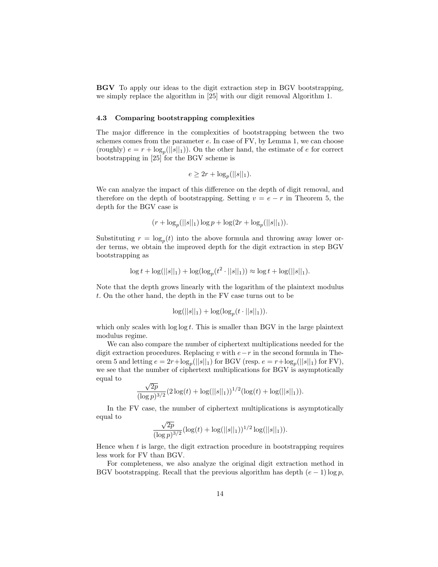BGV To apply our ideas to the digit extraction step in BGV bootstrapping, we simply replace the algorithm in [25] with our digit removal Algorithm 1.

### 4.3 Comparing bootstrapping complexities

The major difference in the complexities of bootstrapping between the two schemes comes from the parameter  $e$ . In case of FV, by Lemma 1, we can choose (roughly)  $e = r + \log_p(||s||_1)$ ). On the other hand, the estimate of e for correct bootstrapping in [25] for the BGV scheme is

$$
e \ge 2r + \log_p(||s||_1).
$$

We can analyze the impact of this difference on the depth of digit removal, and therefore on the depth of bootstrapping. Setting  $v = e - r$  in Theorem 5, the depth for the BGV case is

$$
(r + \log_p(||s||_1) \log p + \log(2r + \log_p(||s||_1)).
$$

Substituting  $r = \log_p(t)$  into the above formula and throwing away lower order terms, we obtain the improved depth for the digit extraction in step BGV bootstrapping as

$$
\log t + \log(||s||_1) + \log(\log_p(t^2 \cdot ||s||_1)) \approx \log t + \log(||s||_1).
$$

Note that the depth grows linearly with the logarithm of the plaintext modulus t. On the other hand, the depth in the FV case turns out to be

$$
\log(||s||_1) + \log(\log_p(t \cdot ||s||_1)).
$$

which only scales with  $\log \log t$ . This is smaller than BGV in the large plaintext modulus regime.

We can also compare the number of ciphertext multiplications needed for the digit extraction procedures. Replacing v with  $e-r$  in the second formula in Theorem 5 and letting  $e = 2r + \log_p(||s||_1)$  for BGV (resp.  $e = r + \log_p(||s||_1)$  for FV), we see that the number of ciphertext multiplications for BGV is asymptotically equal to √

$$
\frac{\sqrt{2p}}{(\log p)^{3/2}} (2\log(t) + \log(||s||_1))^{1/2} (\log(t) + \log(||s||_1)).
$$

In the FV case, the number of ciphertext multiplications is asymptotically equal to √

$$
\frac{\sqrt{2p}}{(\log p)^{3/2}}(\log(t) + \log(||s||_1))^{1/2}\log(||s||_1)).
$$

Hence when  $t$  is large, the digit extraction procedure in bootstrapping requires less work for FV than BGV.

For completeness, we also analyze the original digit extraction method in BGV bootstrapping. Recall that the previous algorithm has depth  $(e-1) \log p$ ,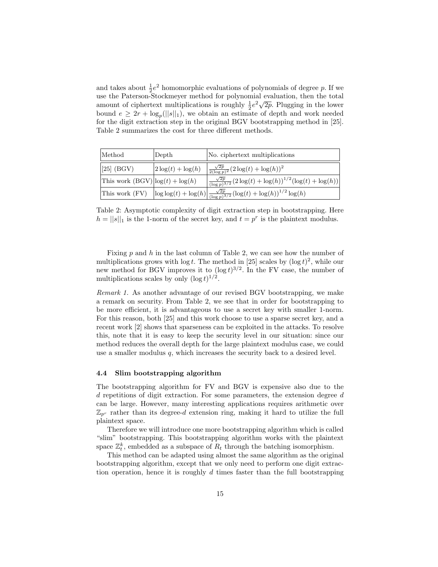and takes about  $\frac{1}{2}e^2$  homomorphic evaluations of polynomials of degree p. If we use the Paterson-Stockmeyer method for polynomial evaluation, then the total amount of ciphertext multiplications is roughly  $\frac{1}{2}e^2\sqrt{2p}$ . Plugging in the lower bound  $e \geq 2r + \log_p(||s||_1)$ , we obtain an estimate of depth and work needed for the digit extraction step in the original BGV bootstrapping method in [25]. Table 2 summarizes the cost for three different methods.

| Method                            | Depth                | No. ciphertext multiplications                                                                                          |
|-----------------------------------|----------------------|-------------------------------------------------------------------------------------------------------------------------|
| $\left 25\right $ (BGV)           | $2\log(t) + \log(h)$ | $\frac{\sqrt{2p}}{2(\log p)^2} (2\log(t) + \log(h))^2$                                                                  |
| This work $(BGV) log(t) + log(h)$ |                      | $\left  \frac{\sqrt{2p}}{(\log p)^{3/2}} (2 \log(t) + \log(h))^{1/2} (\log(t) + \log(h)) \right $                       |
|                                   |                      | This work (FV) $\left \log \log(t) + \log(h)\right  \frac{\sqrt{2p}}{(\log p)^{3/2}} (\log(t) + \log(h))^{1/2} \log(h)$ |

Table 2: Asymptotic complexity of digit extraction step in bootstrapping. Here  $h = ||s||_1$  is the 1-norm of the secret key, and  $t = p^r$  is the plaintext modulus.

Fixing  $p$  and  $h$  in the last column of Table 2, we can see how the number of multiplications grows with  $\log t$ . The method in [25] scales by  $(\log t)^2$ , while our new method for BGV improves it to  $(\log t)^{3/2}$ . In the FV case, the number of multiplications scales by only  $(\log t)^{1/2}$ .

Remark 1. As another advantage of our revised BGV bootstrapping, we make a remark on security. From Table 2, we see that in order for bootstrapping to be more efficient, it is advantageous to use a secret key with smaller 1-norm. For this reason, both [25] and this work choose to use a sparse secret key, and a recent work [2] shows that sparseness can be exploited in the attacks. To resolve this, note that it is easy to keep the security level in our situation: since our method reduces the overall depth for the large plaintext modulus case, we could use a smaller modulus  $q$ , which increases the security back to a desired level.

#### 4.4 Slim bootstrapping algorithm

The bootstrapping algorithm for FV and BGV is expensive also due to the d repetitions of digit extraction. For some parameters, the extension degree d can be large. However, many interesting applications requires arithmetic over  $\mathbb{Z}_{p^r}$  rather than its degree-d extension ring, making it hard to utilize the full plaintext space.

Therefore we will introduce one more bootstrapping algorithm which is called "slim" bootstrapping. This bootstrapping algorithm works with the plaintext space  $\mathbb{Z}_t^k$ , embedded as a subspace of  $R_t$  through the batching isomorphism.

This method can be adapted using almost the same algorithm as the original bootstrapping algorithm, except that we only need to perform one digit extraction operation, hence it is roughly  $d$  times faster than the full bootstrapping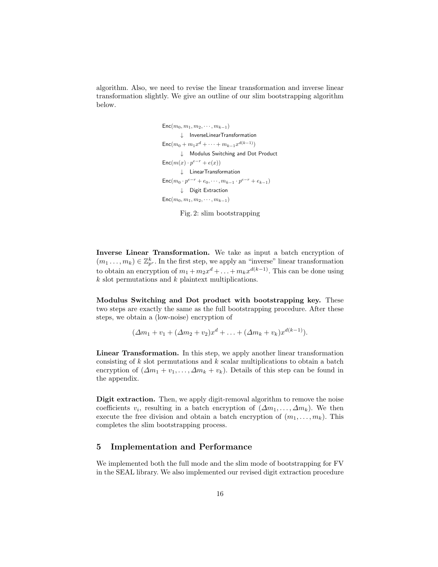algorithm. Also, we need to revise the linear transformation and inverse linear transformation slightly. We give an outline of our slim bootstrapping algorithm below.

```
\mathsf{Enc}(m_0 + m_1 x^d + \cdots + m_{k-1} x^{d(k-1)})\mathsf{Enc}(m_0, m_1, m_2, \cdots, m_{k-1})\mathsf{Enc}(m(x) \cdot p^{e-r} + e(x))Modulus Switching and Dot Product
#
\mathsf{Enc}(m_0 \cdot p^{e-r} + e_0, \cdots, m_{k-1} \cdot p^{e-r} + e_{k-1})\downarrow Digit Extraction
          \downarrow LinearTransformation
          \downarrow InverseLinearTransformation
Enc(m_0, m_1, m_2, \cdots, m_{k-1})
```
Fig. 2: slim bootstrapping

Inverse Linear Transformation. We take as input a batch encryption of  $(m_1, \ldots, m_k) \in \mathbb{Z}_{p^r}^k$ . In the first step, we apply an "inverse" linear transformation to obtain an encryption of  $m_1 + m_2x^d + \ldots + m_kx^{d(k-1)}$ . This can be done using k slot permutations and k plaintext multiplications.

Modulus Switching and Dot product with bootstrapping key. These two steps are exactly the same as the full bootstrapping procedure. After these steps, we obtain a (low-noise) encryption of

 $(\Delta m_1 + v_1 + (\Delta m_2 + v_2)x^d + \ldots + (\Delta m_k + v_k)x^{d(k-1)}).$ 

Linear Transformation. In this step, we apply another linear transformation consisting of  $k$  slot permutations and  $k$  scalar multiplications to obtain a batch encryption of  $(\Delta m_1 + v_1, \ldots, \Delta m_k + v_k)$ . Details of this step can be found in the appendix.

Digit extraction. Then, we apply digit-removal algorithm to remove the noise coefficients  $v_i$ , resulting in a batch encryption of  $(\Delta m_1, \ldots, \Delta m_k)$ . We then execute the free division and obtain a batch encryption of  $(m_1, \ldots, m_k)$ . This completes the slim bootstrapping process.

## 5 Implementation and Performance

We implemented both the full mode and the slim mode of bootstrapping for FV in the SEAL library. We also implemented our revised digit extraction procedure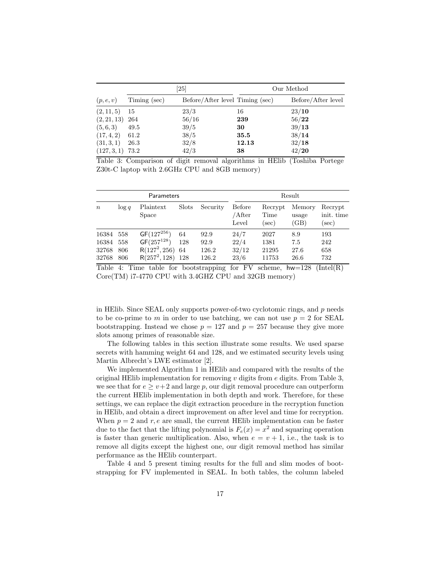|                   |              | $\left[ 25\right]$              | Our Method |                    |  |
|-------------------|--------------|---------------------------------|------------|--------------------|--|
| (p, e, v)         | Timing (sec) | Before/After level Timing (sec) |            | Before/After level |  |
| (2, 11, 5)        | -15          | 23/3                            | 16         | 23/10              |  |
| $(2, 21, 13)$ 264 |              | 56/16                           | 239        | 56/22              |  |
| (5,6,3)           | 49.5         | 39/5                            | 30         | 39/13              |  |
| $(17, 4, 2)$ 61.2 |              | 38/5                            | 35.5       | 38/14              |  |
| (31, 3, 1)        | 26.3         | 32/8                            | 12.13      | 32/18              |  |
| $(127,3,1)$ 73.2  |              | 42/3                            | 38         | 42/20              |  |

Table 3: Comparison of digit removal algorithms in HElib (Toshiba Portege Z30t-C laptop with 2.6GHz CPU and 8GB memory)

| Parameters       |          |                           |              |          | Result                    |                         |                         |                                   |
|------------------|----------|---------------------------|--------------|----------|---------------------------|-------------------------|-------------------------|-----------------------------------|
| $\boldsymbol{n}$ | $\log q$ | Plaintext<br><b>Space</b> | <b>Slots</b> | Security | Before<br>/After<br>Level | Recrypt<br>Time<br>sec) | Memory<br>usage<br>(GB) | Recrypt<br>init. time<br>$(\sec)$ |
| 16384            | 558      | $GF(127^{256})$           | 64           | 92.9     | 24/7                      | 2027                    | 8.9                     | 193                               |
| 16384            | 558      | $GF(257^{128})$           | 128          | 92.9     | 22/4                      | 1381                    | 7.5                     | 242                               |
| 32768            | 806      | $R(127^2, 256)$           | 64           | 126.2    | 32/12                     | 21295                   | 27.6                    | 658                               |
| 32768            | 806      | $R(257^2, 128)$           | 128          | 126.2    | 23/6                      | 11753                   | 26.6                    | 732                               |

Table 4: Time table for bootstrapping for FV scheme,  $hw=128$  (Intel(R) Core(TM) i7-4770 CPU with 3.4GHZ CPU and 32GB memory)

in HElib. Since SEAL only supports power-of-two cyclotomic rings, and p needs to be co-prime to m in order to use batching, we can not use  $p = 2$  for SEAL bootstrapping. Instead we chose  $p = 127$  and  $p = 257$  because they give more slots among primes of reasonable size.

The following tables in this section illustrate some results. We used sparse secrets with hamming weight 64 and 128, and we estimated security levels using Martin Albrecht's LWE estimator [2].

We implemented Algorithm 1 in HElib and compared with the results of the original HElib implementation for removing  $v$  digits from  $e$  digits. From Table 3, we see that for  $e \ge v+2$  and large p, our digit removal procedure can outperform the current HElib implementation in both depth and work. Therefore, for these settings, we can replace the digit extraction procedure in the recryption function in HElib, and obtain a direct improvement on after level and time for recryption. When  $p = 2$  and  $r, e$  are small, the current HElib implementation can be faster due to the fact that the lifting polynomial is  $F_e(x) = x^2$  and squaring operation is faster than generic multiplication. Also, when  $e = v + 1$ , i.e., the task is to remove all digits except the highest one, our digit removal method has similar performance as the HElib counterpart.

Table 4 and 5 present timing results for the full and slim modes of bootstrapping for FV implemented in SEAL. In both tables, the column labeled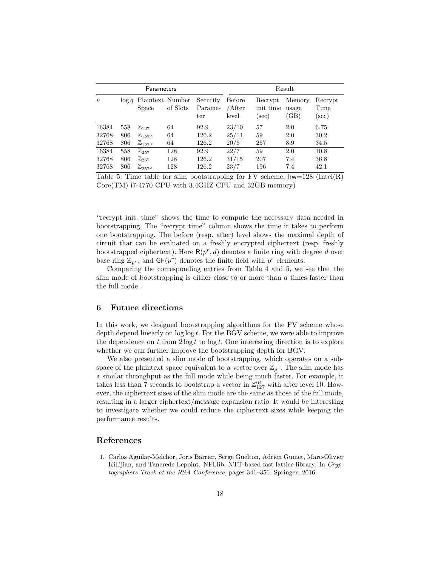| Parameters       |          |                           |          | Result                     |                           |                                  |                         |                             |
|------------------|----------|---------------------------|----------|----------------------------|---------------------------|----------------------------------|-------------------------|-----------------------------|
| $\boldsymbol{n}$ | $\log q$ | Plaintext Number<br>Space | of Slots | Security<br>Parame-<br>ter | Before<br>/After<br>level | Recrypt<br>init time<br>$(\sec)$ | Memory<br>usage<br>(GB) | Recrypt<br>Time<br>$(\sec)$ |
| 16384            | 558      | $\mathbb{Z}_{127}$        | 64       | 92.9                       | 23/10                     | 57                               | 2.0                     | 6.75                        |
| 32768            | 806      | $\mathbb{Z}_{1272}$       | 64       | 126.2                      | 25/11                     | 59                               | 2.0                     | 30.2                        |
| 32768            | 806      | $\mathbb{Z}_{1273}$       | 64       | 126.2                      | 20/6                      | 257                              | 8.9                     | 34.5                        |
| 16384            | 558      | $\mathbb{Z}_{257}$        | 128      | 92.9                       | 22/7                      | 59                               | 2.0                     | 10.8                        |
| 32768            | 806      | $\mathbb{Z}_{257}$        | 128      | 126.2                      | 31/15                     | 207                              | 7.4                     | 36.8                        |
| 32768            | 806      | $\mathbb{Z}_{257^2}$      | 128      | 126.2                      | 23/7                      | 196                              | 7.4                     | 42.1                        |

Table 5: Time table for slim bootstrapping for FV scheme,  $hw=128$  (Intel(R) Core(TM) i7-4770 CPU with 3.4GHZ CPU and 32GB memory)

"recrypt init. time" shows the time to compute the necessary data needed in bootstrapping. The "recrypt time" column shows the time it takes to perform one bootstrapping. The before (resp. after) level shows the maximal depth of circuit that can be evaluated on a freshly encrypted ciphertext (resp. freshly bootstrapped ciphertext). Here  $R(p^r, d)$  denotes a finite ring with degree d over base ring  $\mathbb{Z}_{p^r}$ , and  $GF(p^r)$  denotes the finite field with  $p^r$  elements.

Comparing the corresponding entries from Table 4 and 5, we see that the slim mode of bootstrapping is either close to or more than  $d$  times faster than the full mode.

## 6 Future directions

In this work, we designed bootstrapping algorithms for the FV scheme whose depth depend linearly on  $log log t$ . For the BGV scheme, we were able to improve the dependence on t from  $2 \log t$  to  $\log t$ . One interesting direction is to explore whether we can further improve the bootstrapping depth for BGV.

We also presented a slim mode of bootstrapping, which operates on a subspace of the plaintext space equivalent to a vector over  $\mathbb{Z}_{p^r}$ . The slim mode has a similar throughput as the full mode while being much faster. For example, it takes less than 7 seconds to bootstrap a vector in  $\mathbb{Z}_{127}^{64}$  with after level 10. However, the ciphertext sizes of the slim mode are the same as those of the full mode, resulting in a larger ciphertext/message expansion ratio. It would be interesting to investigate whether we could reduce the ciphertext sizes while keeping the performance results.

## References

1. Carlos Aguilar-Melchor, Joris Barrier, Serge Guelton, Adrien Guinet, Marc-Olivier Killijian, and Tancrede Lepoint. NFLlib: NTT-based fast lattice library. In Cryptographers Track at the RSA Conference, pages 341–356. Springer, 2016.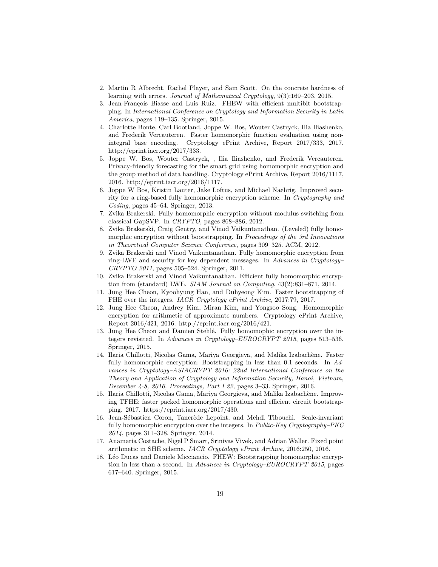- 2. Martin R Albrecht, Rachel Player, and Sam Scott. On the concrete hardness of learning with errors. Journal of Mathematical Cryptology, 9(3):169–203, 2015.
- 3. Jean-François Biasse and Luis Ruiz. FHEW with efficient multibit bootstrapping. In International Conference on Cryptology and Information Security in Latin America, pages 119–135. Springer, 2015.
- 4. Charlotte Bonte, Carl Bootland, Joppe W. Bos, Wouter Castryck, Ilia Iliashenko, and Frederik Vercauteren. Faster homomorphic function evaluation using nonintegral base encoding. Cryptology ePrint Archive, Report 2017/333, 2017. http://eprint.iacr.org/2017/333.
- 5. Joppe W. Bos, Wouter Castryck, , Ilia Iliashenko, and Frederik Vercauteren. Privacy-friendly forecasting for the smart grid using homomorphic encryption and the group method of data handling. Cryptology ePrint Archive, Report 2016/1117, 2016. http://eprint.iacr.org/2016/1117.
- 6. Joppe W Bos, Kristin Lauter, Jake Loftus, and Michael Naehrig. Improved security for a ring-based fully homomorphic encryption scheme. In Cryptography and Coding, pages 45–64. Springer, 2013.
- 7. Zvika Brakerski. Fully homomorphic encryption without modulus switching from classical GapSVP. In CRYPTO, pages 868–886, 2012.
- 8. Zvika Brakerski, Craig Gentry, and Vinod Vaikuntanathan. (Leveled) fully homomorphic encryption without bootstrapping. In Proceedings of the 3rd Innovations in Theoretical Computer Science Conference, pages 309–325. ACM, 2012.
- 9. Zvika Brakerski and Vinod Vaikuntanathan. Fully homomorphic encryption from ring-LWE and security for key dependent messages. In Advances in Cryptology– CRYPTO 2011, pages 505–524. Springer, 2011.
- 10. Zvika Brakerski and Vinod Vaikuntanathan. Efficient fully homomorphic encryption from (standard) LWE. SIAM Journal on Computing, 43(2):831–871, 2014.
- 11. Jung Hee Cheon, Kyoohyung Han, and Duhyeong Kim. Faster bootstrapping of FHE over the integers. IACR Cryptology ePrint Archive, 2017:79, 2017.
- 12. Jung Hee Cheon, Andrey Kim, Miran Kim, and Yongsoo Song. Homomorphic encryption for arithmetic of approximate numbers. Cryptology ePrint Archive, Report 2016/421, 2016. http://eprint.iacr.org/2016/421.
- 13. Jung Hee Cheon and Damien Stehlé. Fully homomophic encryption over the integers revisited. In Advances in Cryptology–EUROCRYPT 2015, pages 513–536. Springer, 2015.
- 14. Ilaria Chillotti, Nicolas Gama, Mariya Georgieva, and Malika Izabach`ene. Faster fully homomorphic encryption: Bootstrapping in less than 0.1 seconds. In Advances in Cryptology–ASIACRYPT 2016: 22nd International Conference on the Theory and Application of Cryptology and Information Security, Hanoi, Vietnam, December 4-8, 2016, Proceedings, Part I 22, pages 3–33. Springer, 2016.
- 15. Ilaria Chillotti, Nicolas Gama, Mariya Georgieva, and Malika Izabachène. Improving TFHE: faster packed homomorphic operations and efficient circuit bootstrapping. 2017. https://eprint.iacr.org/2017/430.
- 16. Jean-Sébastien Coron, Tancrède Lepoint, and Mehdi Tibouchi. Scale-invariant fully homomorphic encryption over the integers. In Public-Key Cryptography–PKC 2014, pages 311–328. Springer, 2014.
- 17. Anamaria Costache, Nigel P Smart, Srinivas Vivek, and Adrian Waller. Fixed point arithmetic in SHE scheme. IACR Cryptology ePrint Archive, 2016:250, 2016.
- 18. Léo Ducas and Daniele Micciancio. FHEW: Bootstrapping homomorphic encryption in less than a second. In Advances in Cryptology–EUROCRYPT 2015, pages 617–640. Springer, 2015.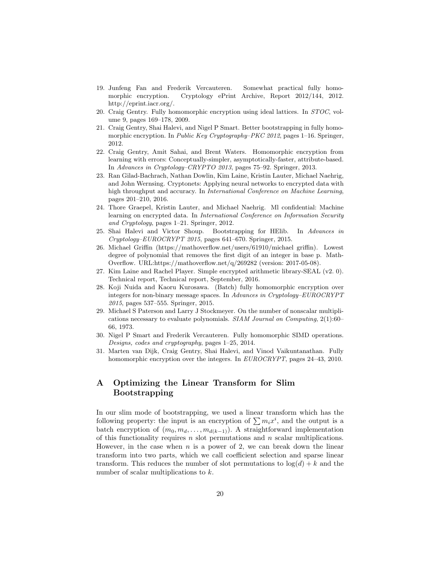- 19. Junfeng Fan and Frederik Vercauteren. Somewhat practical fully homomorphic encryption. Cryptology ePrint Archive, Report 2012/144, 2012. http://eprint.iacr.org/.
- 20. Craig Gentry. Fully homomorphic encryption using ideal lattices. In STOC, volume 9, pages 169–178, 2009.
- 21. Craig Gentry, Shai Halevi, and Nigel P Smart. Better bootstrapping in fully homomorphic encryption. In *Public Key Cryptography–PKC 2012*, pages 1–16. Springer, 2012.
- 22. Craig Gentry, Amit Sahai, and Brent Waters. Homomorphic encryption from learning with errors: Conceptually-simpler, asymptotically-faster, attribute-based. In Advances in Cryptology–CRYPTO 2013, pages 75–92. Springer, 2013.
- 23. Ran Gilad-Bachrach, Nathan Dowlin, Kim Laine, Kristin Lauter, Michael Naehrig, and John Wernsing. Cryptonets: Applying neural networks to encrypted data with high throughput and accuracy. In *International Conference on Machine Learning*, pages 201–210, 2016.
- 24. Thore Graepel, Kristin Lauter, and Michael Naehrig. Ml confidential: Machine learning on encrypted data. In International Conference on Information Security and Cryptology, pages 1–21. Springer, 2012.
- 25. Shai Halevi and Victor Shoup. Bootstrapping for HElib. In Advances in Cryptology–EUROCRYPT 2015, pages 641–670. Springer, 2015.
- 26. Michael Griffin (https://mathoverflow.net/users/61910/michael griffin). Lowest degree of polynomial that removes the first digit of an integer in base p. Math-Overflow. URL:https://mathoverflow.net/q/269282 (version: 2017-05-08).
- 27. Kim Laine and Rachel Player. Simple encrypted arithmetic library-SEAL (v2. 0). Technical report, Technical report, September, 2016.
- 28. Koji Nuida and Kaoru Kurosawa. (Batch) fully homomorphic encryption over integers for non-binary message spaces. In Advances in Cryptology–EUROCRYPT 2015, pages 537–555. Springer, 2015.
- 29. Michael S Paterson and Larry J Stockmeyer. On the number of nonscalar multiplications necessary to evaluate polynomials. SIAM Journal on Computing, 2(1):60– 66, 1973.
- 30. Nigel P Smart and Frederik Vercauteren. Fully homomorphic SIMD operations. Designs, codes and cryptography, pages 1–25, 2014.
- 31. Marten van Dijk, Craig Gentry, Shai Halevi, and Vinod Vaikuntanathan. Fully homomorphic encryption over the integers. In EUROCRYPT, pages 24–43, 2010.

## A Optimizing the Linear Transform for Slim Bootstrapping

In our slim mode of bootstrapping, we used a linear transform which has the following property: the input is an encryption of  $\sum m_i x^i$ , and the output is a batch encryption of  $(m_0, m_d, \ldots, m_{d(k-1)})$ . A straightforward implementation of this functionality requires n slot permutations and n scalar multiplications. However, in the case when  $n$  is a power of 2, we can break down the linear transform into two parts, which we call coefficient selection and sparse linear transform. This reduces the number of slot permutations to  $log(d) + k$  and the number of scalar multiplications to k.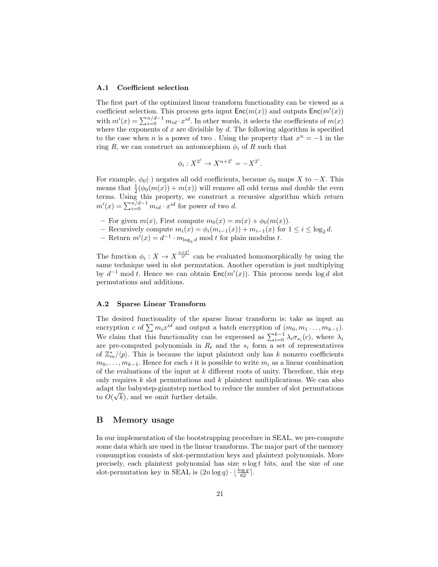#### A.1 Coefficient selection

The first part of the optimized linear transform functionality can be viewed as a coefficient selection. This process gets input  $\mathsf{Enc}(m(x))$  and outputs  $\mathsf{Enc}(m'(x))$ with  $m'(x) = \sum_{i=0}^{n/d-1} m_{id} \cdot x^{id}$ . In other words, it selects the coefficients of  $m(x)$ where the exponents of  $x$  are divisible by  $d$ . The following algorithm is specified to the case when *n* is a power of two. Using the property that  $x^n = -1$  in the ring R, we can construct an automorphism  $\phi_i$  of R such that

$$
\phi_i: X^{2^i} \to X^{n+2^i} = -X^{2^i}.
$$

For example,  $\phi_0(\cdot)$  negates all odd coefficients, because  $\phi_0$  maps X to  $-X$ . This means that  $\frac{1}{2}(\phi_0(m(x)) + m(x))$  will remove all odd terms and double the even terms. Using this property, we construct a recursive algorithm which return  $m'(x) = \sum_{i=0}^{n/d-1} m_{id} \cdot x^{id}$  for power of two d.

- For given  $m(x)$ , First compute  $m_0(x) = m(x) + \phi_0(m(x))$ .
- Recursively compute  $m_i(x) = \phi_i(m_{i-1}(x)) + m_{i-1}(x)$  for  $1 \leq i \leq \log_2 d$ .
- Return  $m'(x) = d^{-1} \cdot m_{\log_2 d}$  mod t for plain modulus t.

The function  $\phi_i: X \to X^{\frac{n+2^i}{2^i}}$  can be evaluated homomorphically by using the same technique used in slot permutation. Another operation is just multiplying by  $d^{-1}$  mod t. Hence we can obtain  $\mathsf{Enc}(m'(x))$ . This process needs log d slot permutations and additions.

#### A.2 Sparse Linear Transform

The desired functionality of the sparse linear transform is: take as input an encryption c of  $\sum m_i x^{id}$  and output a batch encryption of  $(m_0, m_1 \ldots, m_{k-1})$ . We claim that this functionality can be expressed as  $\sum_{i=0}^{k-1} \lambda_i \sigma_{s_i}(c)$ , where  $\lambda_i$ are pre-computed polynomials in  $R_t$  and the  $s_i$  form a set of representatives of  $\mathbb{Z}_m^*/\langle p \rangle$ . This is because the input plaintext only has k nonzero coefficients  $m_0, \ldots, m_{k-1}$ . Hence for each i it is possible to write  $m_i$  as a linear combination of the evaluations of the input at  $k$  different roots of unity. Therefore, this step only requires  $k$  slot permutations and  $k$  plaintext multiplications. We can also adapt the babystep-giantstep method to reduce the number of slot permutations √ to  $O(\sqrt{k})$ , and we omit further details.

### B Memory usage

In our implementation of the bootstrapping procedure in SEAL, we pre-compute some data which are used in the linear transforms. The major part of the memory consumption consists of slot-permutation keys and plaintext polynomials. More precisely, each plaintext polynomial has size  $n \log t$  bits, and the size of one slot-permutation key in SEAL is  $(2n \log q) \cdot \lfloor \frac{\log q}{62} \rfloor$ .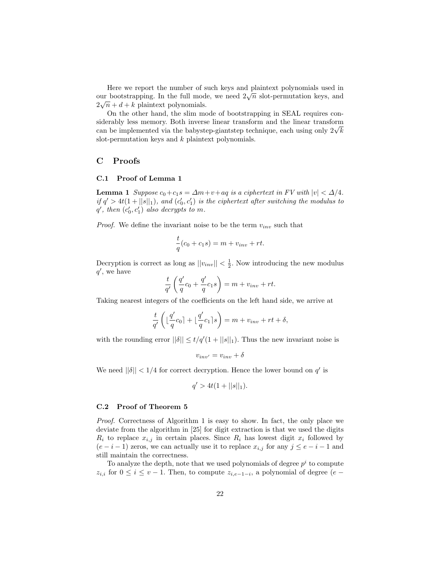Here we report the number of such keys and plaintext polynomials used in There we report the number of such keys and plannext polynomials used in<br>our bootstrapping. In the full mode, we need  $2\sqrt{n}$  slot-permutation keys, and  $2\sqrt{n} + d + k$  plaintext polynomials.

On the other hand, the slim mode of bootstrapping in SEAL requires considerably less memory. Both inverse linear transform and the linear transform siderably less memory. Both inverse linear transform and the linear transform<br>can be implemented via the babystep-giantstep technique, each using only  $2\sqrt{k}$ slot-permutation keys and  $k$  plaintext polynomials.

## C Proofs

### C.1 Proof of Lemma 1

**Lemma 1** Suppose  $c_0+c_1s = \Delta m + v+aq$  is a ciphertext in FV with  $|v| < \Delta/4$ . if  $q' > 4t(1 + ||s||_1)$ , and  $(c'_0, c'_1)$  is the ciphertext after switching the modulus to  $q'$ , then  $(c'_0, c'_1)$  also decrypts to m.

*Proof.* We define the invariant noise to be the term  $v_{inv}$  such that

$$
\frac{t}{q}(c_0 + c_1s) = m + v_{inv} + rt.
$$

Decryption is correct as long as  $||v_{inv}|| < \frac{1}{2}$ . Now introducing the new modulus  $q'$ , we have

$$
\frac{t}{q'}\left(\frac{q'}{q}c_0 + \frac{q'}{q}c_1s\right) = m + v_{inv} + rt.
$$

Taking nearest integers of the coefficients on the left hand side, we arrive at

$$
\frac{t}{q'}\left(\lfloor \frac{q'}{q}c_0\rfloor + \lfloor \frac{q'}{q}c_1\rfloor s\right) = m + v_{inv} + rt + \delta,
$$

with the rounding error  $||\delta|| \le t/q'(1+||s||_1)$ . Thus the new invariant noise is

$$
v_{inv'} = v_{inv} + \delta
$$

We need  $||\delta|| < 1/4$  for correct decryption. Hence the lower bound on  $q'$  is

$$
q' > 4t(1 + ||s||_1).
$$

#### C.2 Proof of Theorem 5

Proof. Correctness of Algorithm 1 is easy to show. In fact, the only place we deviate from the algorithm in [25] for digit extraction is that we used the digits  $R_i$  to replace  $x_{i,j}$  in certain places. Since  $R_i$  has lowest digit  $x_i$  followed by  $(e-i-1)$  zeros, we can actually use it to replace  $x_{i,j}$  for any  $j \leq e-i-1$  and still maintain the correctness.

To analyze the depth, note that we used polynomials of degree  $p^i$  to compute  $z_{i,i}$  for  $0 \leq i \leq v-1$ . Then, to compute  $z_{i,e-1-i}$ , a polynomial of degree  $(e-\tau)$